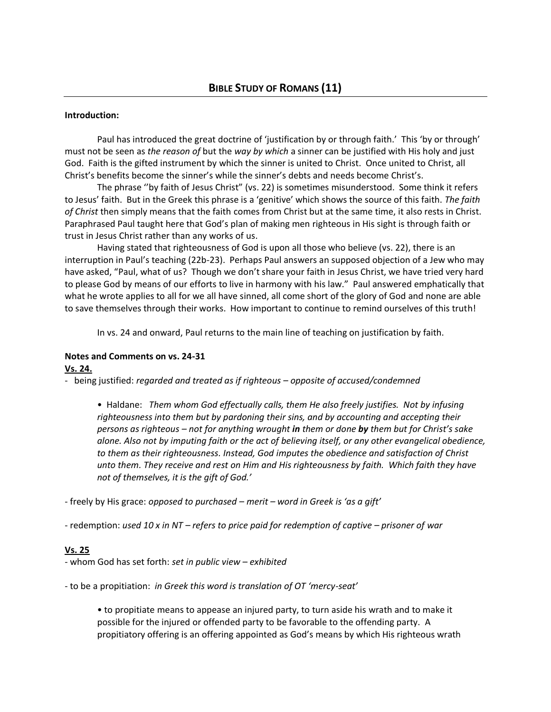### **Introduction:**

Paul has introduced the great doctrine of 'justification by or through faith.' This 'by or through' must not be seen as *the reason of* but the *way by which* a sinner can be justified with His holy and just God. Faith is the gifted instrument by which the sinner is united to Christ. Once united to Christ, all Christ's benefits become the sinner's while the sinner's debts and needs become Christ's.

The phrase ''by faith of Jesus Christ" (vs. 22) is sometimes misunderstood. Some think it refers to Jesus' faith. But in the Greek this phrase is a 'genitive' which shows the source of this faith. *The faith of Christ* then simply means that the faith comes from Christ but at the same time, it also rests in Christ. Paraphrased Paul taught here that God's plan of making men righteous in His sight is through faith or trust in Jesus Christ rather than any works of us.

Having stated that righteousness of God is upon all those who believe (vs. 22), there is an interruption in Paul's teaching (22b-23). Perhaps Paul answers an supposed objection of a Jew who may have asked, "Paul, what of us? Though we don't share your faith in Jesus Christ, we have tried very hard to please God by means of our efforts to live in harmony with his law." Paul answered emphatically that what he wrote applies to all for we all have sinned, all come short of the glory of God and none are able to save themselves through their works. How important to continue to remind ourselves of this truth!

In vs. 24 and onward, Paul returns to the main line of teaching on justification by faith.

#### **Notes and Comments on vs. 24-31 Vs. 24.**

- being justified: *regarded and treated as if righteous – opposite of accused/condemned* 

• Haldane: *Them whom God effectually calls, them He also freely justifies. Not by infusing righteousness into them but by pardoning their sins, and by accounting and accepting their persons as righteous – not for anything wrought in them or done by them but for Christ's sake alone. Also not by imputing faith or the act of believing itself, or any other evangelical obedience, to them as their righteousness. Instead, God imputes the obedience and satisfaction of Christ unto them. They receive and rest on Him and His righteousness by faith. Which faith they have not of themselves, it is the gift of God.'* 

- freely by His grace: *opposed to purchased – merit – word in Greek is 'as a gift'* 

- redemption: *used 10 x in NT – refers to price paid for redemption of captive – prisoner of war*

#### **Vs. 25**

- whom God has set forth: *set in public view – exhibited*

- to be a propitiation: *in Greek this word is translation of OT 'mercy-seat'*

• to propitiate means to appease an injured party, to turn aside his wrath and to make it possible for the injured or offended party to be favorable to the offending party. A propitiatory offering is an offering appointed as God's means by which His righteous wrath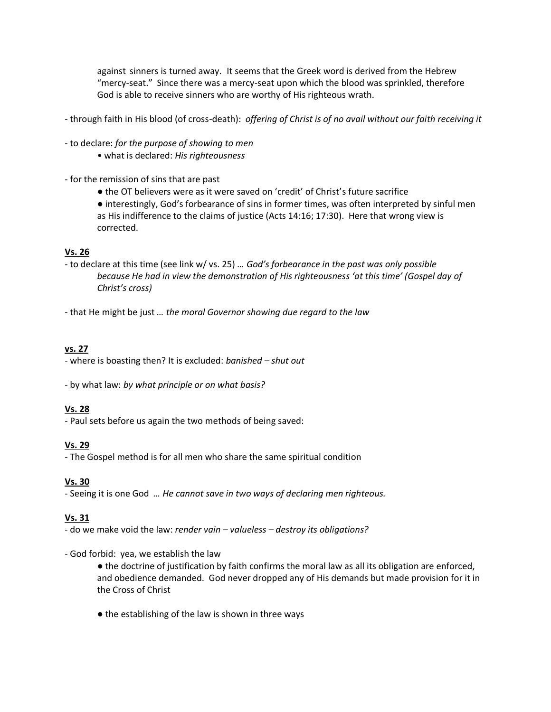against sinners is turned away. It seems that the Greek word is derived from the Hebrew "mercy-seat." Since there was a mercy-seat upon which the blood was sprinkled, therefore God is able to receive sinners who are worthy of His righteous wrath.

- through faith in His blood (of cross-death): *offering of Christ is of no avail without our faith receiving it*
- to declare: *for the purpose of showing to men*
	- what is declared: *His righteousness*
- for the remission of sins that are past
	- the OT believers were as it were saved on 'credit' of Christ's future sacrifice
	- interestingly, God's forbearance of sins in former times, was often interpreted by sinful men as His indifference to the claims of justice (Acts 14:16; 17:30). Here that wrong view is corrected.

## **Vs. 26**

- to declare at this time (see link w/ vs. 25) *… God's forbearance in the past was only possible because He had in view the demonstration of His righteousness 'at this time' (Gospel day of Christ's cross)*
- that He might be just *… the moral Governor showing due regard to the law*

## **vs. 27**

- where is boasting then? It is excluded: *banished – shut out* 

- by what law: *by what principle or on what basis?* 

## **Vs. 28**

- Paul sets before us again the two methods of being saved:

# **Vs. 29**

- The Gospel method is for all men who share the same spiritual condition

## **Vs. 30**

- Seeing it is one God *… He cannot save in two ways of declaring men righteous.* 

## **Vs. 31**

- do we make void the law: *render vain – valueless – destroy its obligations?*

## - God forbid: yea, we establish the law

- the doctrine of justification by faith confirms the moral law as all its obligation are enforced, and obedience demanded. God never dropped any of His demands but made provision for it in the Cross of Christ
- the establishing of the law is shown in three ways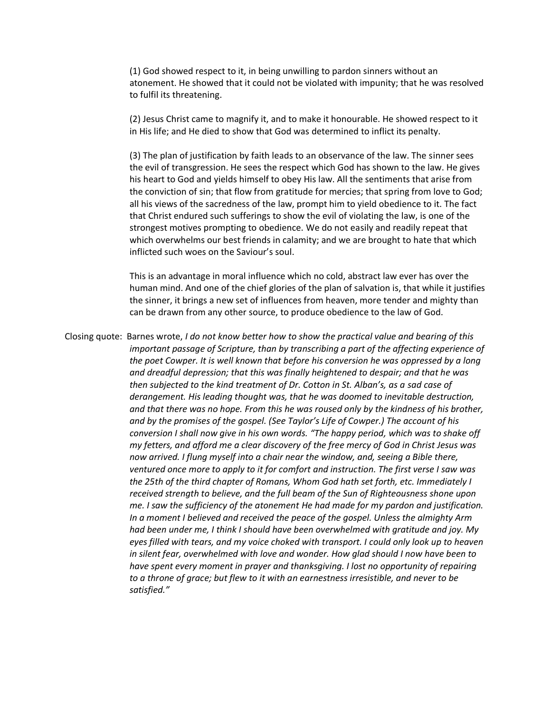(1) God showed respect to it, in being unwilling to pardon sinners without an atonement. He showed that it could not be violated with impunity; that he was resolved to fulfil its threatening.

(2) Jesus Christ came to magnify it, and to make it honourable. He showed respect to it in His life; and He died to show that God was determined to inflict its penalty.

(3) The plan of justification by faith leads to an observance of the law. The sinner sees the evil of transgression. He sees the respect which God has shown to the law. He gives his heart to God and yields himself to obey His law. All the sentiments that arise from the conviction of sin; that flow from gratitude for mercies; that spring from love to God; all his views of the sacredness of the law, prompt him to yield obedience to it. The fact that Christ endured such sufferings to show the evil of violating the law, is one of the strongest motives prompting to obedience. We do not easily and readily repeat that which overwhelms our best friends in calamity; and we are brought to hate that which inflicted such woes on the Saviour's soul.

This is an advantage in moral influence which no cold, abstract law ever has over the human mind. And one of the chief glories of the plan of salvation is, that while it justifies the sinner, it brings a new set of influences from heaven, more tender and mighty than can be drawn from any other source, to produce obedience to the law of God.

Closing quote: Barnes wrote, *I do not know better how to show the practical value and bearing of this important passage of Scripture, than by transcribing a part of the affecting experience of the poet Cowper. It is well known that before his conversion he was oppressed by a long and dreadful depression; that this was finally heightened to despair; and that he was then subjected to the kind treatment of Dr. Cotton in St. Alban's, as a sad case of derangement. His leading thought was, that he was doomed to inevitable destruction, and that there was no hope. From this he was roused only by the kindness of his brother, and by the promises of the gospel. (See Taylor's Life of Cowper.) The account of his conversion I shall now give in his own words. "The happy period, which was to shake off my fetters, and afford me a clear discovery of the free mercy of God in Christ Jesus was now arrived. I flung myself into a chair near the window, and, seeing a Bible there, ventured once more to apply to it for comfort and instruction. The first verse I saw was the 25th of the third chapter of Romans, Whom God hath set forth, etc. Immediately I received strength to believe, and the full beam of the Sun of Righteousness shone upon me. I saw the sufficiency of the atonement He had made for my pardon and justification. In a moment I believed and received the peace of the gospel. Unless the almighty Arm had been under me, I think I should have been overwhelmed with gratitude and joy. My eyes filled with tears, and my voice choked with transport. I could only look up to heaven in silent fear, overwhelmed with love and wonder. How glad should I now have been to have spent every moment in prayer and thanksgiving. I lost no opportunity of repairing to a throne of grace; but flew to it with an earnestness irresistible, and never to be satisfied."*